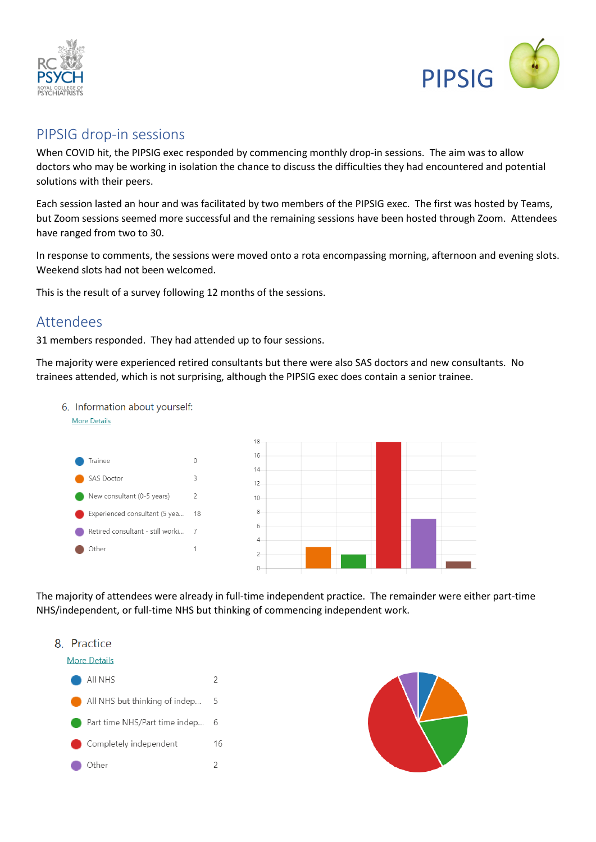



## PIPSIG drop-in sessions

When COVID hit, the PIPSIG exec responded by commencing monthly drop-in sessions. The aim was to allow doctors who may be working in isolation the chance to discuss the difficulties they had encountered and potential solutions with their peers.

Each session lasted an hour and was facilitated by two members of the PIPSIG exec. The first was hosted by Teams, but Zoom sessions seemed more successful and the remaining sessions have been hosted through Zoom. Attendees have ranged from two to 30.

In response to comments, the sessions were moved onto a rota encompassing morning, afternoon and evening slots. Weekend slots had not been welcomed.

This is the result of a survey following 12 months of the sessions.

## Attendees

31 members responded. They had attended up to four sessions.

6. Information about yourself:

The majority were experienced retired consultants but there were also SAS doctors and new consultants. No trainees attended, which is not surprising, although the PIPSIG exec does contain a senior trainee.



The majority of attendees were already in full-time independent practice. The remainder were either part-time NHS/independent, or full-time NHS but thinking of commencing independent work.



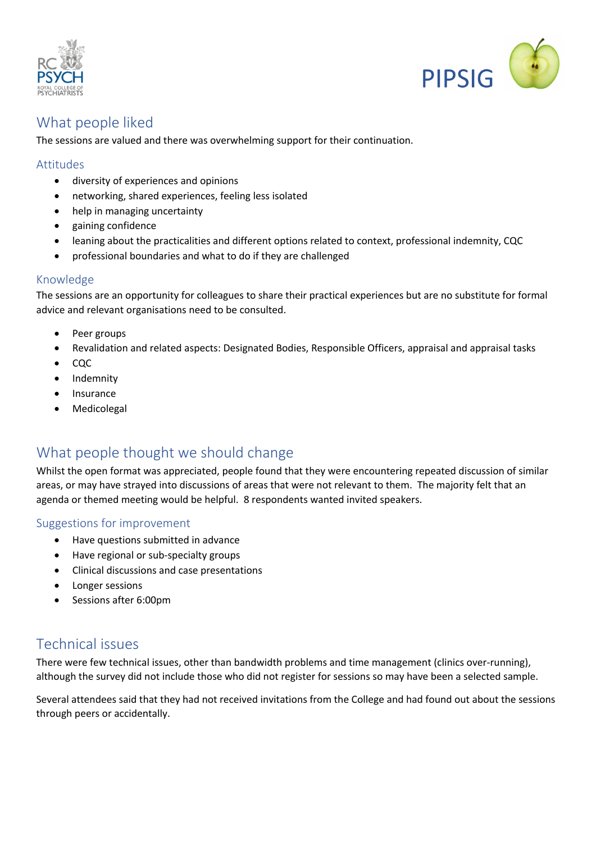



# What people liked

The sessions are valued and there was overwhelming support for their continuation.

## Attitudes

- diversity of experiences and opinions
- networking, shared experiences, feeling less isolated
- help in managing uncertainty
- gaining confidence
- leaning about the practicalities and different options related to context, professional indemnity, CQC
- professional boundaries and what to do if they are challenged

### Knowledge

The sessions are an opportunity for colleagues to share their practical experiences but are no substitute for formal advice and relevant organisations need to be consulted.

- Peer groups
- Revalidation and related aspects: Designated Bodies, Responsible Officers, appraisal and appraisal tasks
- CQC
- Indemnity
- Insurance
- Medicolegal

# What people thought we should change

Whilst the open format was appreciated, people found that they were encountering repeated discussion of similar areas, or may have strayed into discussions of areas that were not relevant to them. The majority felt that an agenda or themed meeting would be helpful. 8 respondents wanted invited speakers.

### Suggestions for improvement

- Have questions submitted in advance
- Have regional or sub-specialty groups
- Clinical discussions and case presentations
- Longer sessions
- Sessions after 6:00pm

# Technical issues

There were few technical issues, other than bandwidth problems and time management (clinics over-running), although the survey did not include those who did not register for sessions so may have been a selected sample.

Several attendees said that they had not received invitations from the College and had found out about the sessions through peers or accidentally.